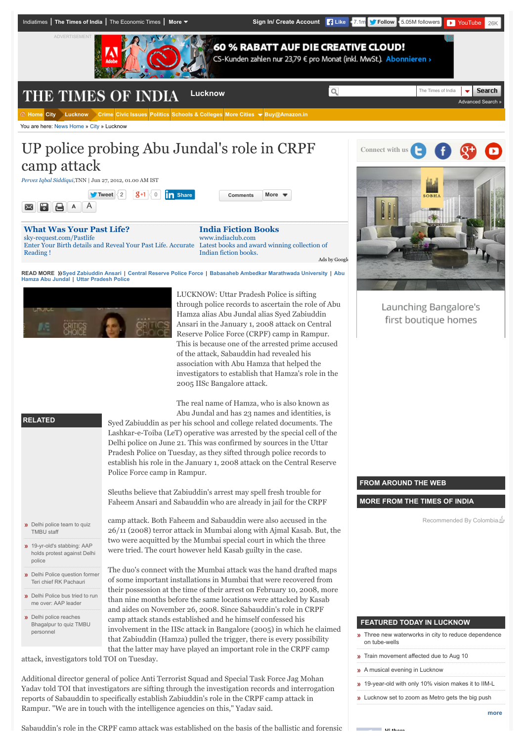

You are here: [News Home](http://timesofindia.indiatimes.com/) » [City](http://timesofindia.indiatimes.com/city/cityarticlelist/-2128932452.cms) » Lucknow

# UP police probing Abu Jundal's role in CRPF camp attack

*[Pervez Iqbal Siddiqui](http://timesofindia.indiatimes.com/toireporter/author-Pervez-Iqbal-Siddiqui.cms)*,TNN | Jun 27, 2012, 01.00 AM IST

**[Tweet](https://twitter.com/intent/tweet?original_referer=http%3A%2F%2Ftimesofindia.indiatimes.com%2Fcity%2Flucknow%2FUP-police-probing-Abu-Jundals-role-in-CRPF-camp-attack%2Farticleshow%2F14418780.cms%3Freferral%3DPM%2B&ref_src=twsrc%5Etfw&text=UP%20police%20probing%20Abu%20Jundal%27s%20role%20in%20CRPF%20camp%20attack&tw_p=tweetbutton&url=http%3A%2F%2Ftimesofindia.indiatimes.com%2Fcity%2Flucknow%2FUP-police-probing-Abu-Jundals-role-in-CRPF-camp-attack%2Farticleshow%2F14418780.cms&via=TOILucknow)** [2](https://twitter.com/search?ref_src=twsrc%5Etfw&q=http%3A%2F%2Ftimesofindia.indiatimes.com%2Fcity%2Flucknow%2FUP-police-probing-Abu-Jundals-role-in-CRPF-camp-attack%2Farticleshow%2F14418780.cms) 0 **[Comments](http://timesofindia.indiatimes.com/city/lucknow/UP-police-probing-Abu-Jundals-role-in-CRPF-camp-attack/articleshow/14418780.cms?referral=PM+#write) [More](javascript:void(0)) [Share](javascript:void(0);)**  $A \parallel A$ 88

**[What Was Your Past Life?](http://www.googleadservices.com/pagead/aclk?sa=L&ai=CmatLvfrEVfT-AsPC7Qabh64ojdrswgat6dz2-QHAjbcBEAEgqPCmBigCYJW6roK0B6ABw-TqzwPIAQGpAjTJNa3nN7I-qAMBqgTiAU_QTycIZIC2k9ppzHH3pka36Dpclg_0w-V_magevgM8p4RqNfdOl8zL_qMwYGMVKAogE4uxT3NItJc3wAvQFkxIXSo4avgzZIRh44tZujoV7FlPj2ODLtOFL3_0F1FGubnbdfXktJ8QAlAkqYcK-l7rQyXFvVXoYNC2B8UdCR2Uh7eJmJQ4W0HpMUGSkvhgpiv2VKxQ6a_VuxgMYnMfI3Ag_umU7BWFUgszDwLOqq_2Z7QpNWIbNggazYrLMuAzGR1MWSKdv8UlKZ20FHsXmXAW-C5bgaC4ACRGoz-xPQXJmBiIBgGAB6WblTCoB6a-G9gHAQ&num=1&cid=5Gg_sjA2qNLHIxgB6n7p62jG&sig=AOD64_2CdcpAbqQGGsTWbJa61cFRFN5Rdw&client=ca-timesofindia_site_js&adurl=https://sky-request.com/FreeReading.html%3Fpk_campaign%3Dplacements_m%26pk_kwd%3Dpast)** [sky-request.com/Pastlife](http://www.googleadservices.com/pagead/aclk?sa=L&ai=CmatLvfrEVfT-AsPC7Qabh64ojdrswgat6dz2-QHAjbcBEAEgqPCmBigCYJW6roK0B6ABw-TqzwPIAQGpAjTJNa3nN7I-qAMBqgTiAU_QTycIZIC2k9ppzHH3pka36Dpclg_0w-V_magevgM8p4RqNfdOl8zL_qMwYGMVKAogE4uxT3NItJc3wAvQFkxIXSo4avgzZIRh44tZujoV7FlPj2ODLtOFL3_0F1FGubnbdfXktJ8QAlAkqYcK-l7rQyXFvVXoYNC2B8UdCR2Uh7eJmJQ4W0HpMUGSkvhgpiv2VKxQ6a_VuxgMYnMfI3Ag_umU7BWFUgszDwLOqq_2Z7QpNWIbNggazYrLMuAzGR1MWSKdv8UlKZ20FHsXmXAW-C5bgaC4ACRGoz-xPQXJmBiIBgGAB6WblTCoB6a-G9gHAQ&num=1&cid=5Gg_sjA2qNLHIxgB6n7p62jG&sig=AOD64_2CdcpAbqQGGsTWbJa61cFRFN5Rdw&client=ca-timesofindia_site_js&adurl=https://sky-request.com/FreeReading.html%3Fpk_campaign%3Dplacements_m%26pk_kwd%3Dpast) Enter Your Birth details and Reveal Your Past Life. Accurate Reading !

**[India Fiction Books](http://www.googleadservices.com/pagead/aclk?sa=L&ai=CWpzLvfrEVfT-AsPC7Qabh64os76ehAG51Oaf4wHAjbcBEAIgqPCmBigCYJW6roK0B6ABooG2_wPIAQGoAwGqBOEBT9BfQARkg7aT2mnMcfemRrfoOlyWD_TD5X-ZqB6-AzynhGo1906XzMv-ozBgYxUoCiATi7FPc0i0lzfAC9AWTEhdKjhq-DNkhGHji1m6OhXsWU-PY4Mu04Uvf_QXUUa5udt19eS0nxACUCSphwr6XutDJcW9Vehg0LYHxR0JHZSHt4mYlDhbQekxQZKS-GCmK_ZUrFDpr9W7GAxicx8jcCD-6ZTsFYVSCzMPAs6qr_Yftyk1YncsURPNissy4DMZHUxZIp2_xSUpnbQUexeZcBb4LluBoLgAJEajP7E9HoxgiAYBgAfG_kmoB6a-G9gHAQ&num=2&cid=5Gg_sjA2qNLHIxgB6n7p62jG&sig=AOD64_2-zsBqeiQElx7106QxRrqruDsuaA&client=ca-timesofindia_site_js&adurl=http://www.indiaclub.com/Fiction/b/8466426011%3Fie%3DUTF8%26title%3DFiction)** [www.indiaclub.com](http://www.googleadservices.com/pagead/aclk?sa=L&ai=CWpzLvfrEVfT-AsPC7Qabh64os76ehAG51Oaf4wHAjbcBEAIgqPCmBigCYJW6roK0B6ABooG2_wPIAQGoAwGqBOEBT9BfQARkg7aT2mnMcfemRrfoOlyWD_TD5X-ZqB6-AzynhGo1906XzMv-ozBgYxUoCiATi7FPc0i0lzfAC9AWTEhdKjhq-DNkhGHji1m6OhXsWU-PY4Mu04Uvf_QXUUa5udt19eS0nxACUCSphwr6XutDJcW9Vehg0LYHxR0JHZSHt4mYlDhbQekxQZKS-GCmK_ZUrFDpr9W7GAxicx8jcCD-6ZTsFYVSCzMPAs6qr_Yftyk1YncsURPNissy4DMZHUxZIp2_xSUpnbQUexeZcBb4LluBoLgAJEajP7E9HoxgiAYBgAfG_kmoB6a-G9gHAQ&num=2&cid=5Gg_sjA2qNLHIxgB6n7p62jG&sig=AOD64_2-zsBqeiQElx7106QxRrqruDsuaA&client=ca-timesofindia_site_js&adurl=http://www.indiaclub.com/Fiction/b/8466426011%3Fie%3DUTF8%26title%3DFiction) Latest books and award winning collection of Indian fiction books. [Ads by Google](https://www.google.com/url?ct=abg&q=https://www.google.com/adsense/support/bin/request.py%3Fcontact%3Dabg_afc%26url%3Dhttp://timesofindia.indiatimes.com/india/11000-page-26/11-Mumbai-attack-chargesheet-had-one-para-on-LeT-Book/articleshow/39503322.cms%26gl%3DDE%26hl%3Den%26client%3Dca-timesofindia_site_js%26hideleadgen%3D1%26ai0%3DCmatLvfrEVfT-AsPC7Qabh64ojdrswgat6dz2-QHAjbcBEAEgqPCmBigCYJW6roK0B6ABw-TqzwPIAQGpAjTJNa3nN7I-qAMBqgTiAU_QTycIZIC2k9ppzHH3pka36Dpclg_0w-V_magevgM8p4RqNfdOl8zL_qMwYGMVKAogE4uxT3NItJc3wAvQFkxIXSo4avgzZIRh44tZujoV7FlPj2ODLtOFL3_0F1FGubnbdfXktJ8QAlAkqYcK-l7rQyXFvVXoYNC2B8UdCR2Uh7eJmJQ4W0HpMUGSkvhgpiv2VKxQ6a_VuxgMYnMfI3Ag_umU7BWFUgszDwLOqq_2Z7QpNWIbNggazYrLMuAzGR1MWSKdv8UlKZ20FHsXmXAW-C5bgaC4ACRGoz-xPQXJmBiIBgGAB6WblTCoB6a-G9gHAQ%26ai1%3DCWpzLvfrEVfT-AsPC7Qabh64os76ehAG51Oaf4wHAjbcBEAIgqPCmBigCYJW6roK0B6ABooG2_wPIAQGoAwGqBOEBT9BfQARkg7aT2mnMcfemRrfoOlyWD_TD5X-ZqB6-AzynhGo1906XzMv-ozBgYxUoCiATi7FPc0i0lzfAC9AWTEhdKjhq-DNkhGHji1m6OhXsWU-PY4Mu04Uvf_QXUUa5udt19eS0nxACUCSphwr6XutDJcW9Vehg0LYHxR0JHZSHt4mYlDhbQekxQZKS-GCmK_ZUrFDpr9W7GAxicx8jcCD-6ZTsFYVSCzMPAs6qr_Yftyk1YncsURPNissy4DMZHUxZIp2_xSUpnbQUexeZcBb4LluBoLgAJEajP7E9HoxgiAYBgAfG_kmoB6a-G9gHAQ&usg=AFQjCNHCJEwY7OgZIbEh951v7ak6iYz3yg)

READ MORE ))[Syed Zabiuddin Ansari](http://timesofindia.indiatimes.com/topic/Syed-Zabiuddin-Ansari) | [Central Reserve Police Force](http://timesofindia.indiatimes.com/topic/Central-Reserve-Police-Force) | [Babasaheb Ambedkar Marathwada Universit](http://timesofindia.indiatimes.com/topic/Babasaheb-Ambedkar-Marathwada-University)[y](http://timesofindia.indiatimes.com/topic/Abu-Hamza-Abu-Jundal) | Abu<br>Hamza Abu Jundal | [Uttar Pradesh Police](http://timesofindia.indiatimes.com/topic/Uttar-Pradesh-Police)



LUCKNOW: Uttar Pradesh Police is sifting through police records to ascertain the role of Abu Hamza alias Abu Jundal alias Syed Zabiuddin Ansari in the January 1, 2008 attack on Central Reserve Police Force (CRPF) camp in Rampur. This is because one of the arrested prime accused of the attack, Sabauddin had revealed his association with Abu Hamza that helped the investigators to establish that Hamza's role in the 2005 IISc Bangalore attack.

The real name of Hamza, who is also known as Abu Jundal and has 23 names and identities, is

Syed Zabiuddin as per his school and college related documents. The Lashkar-e-Toiba (LeT) operative was arrested by the special cell of the Delhi police on June 21. This was confirmed by sources in the Uttar Pradesh Police on Tuesday, as they sifted through police records to establish his role in the January 1, 2008 attack on the Central Reserve Police Force camp in Rampur.

Sleuths believe that Zabiuddin's arrest may spell fresh trouble for Faheem Ansari and Sabauddin who are already in jail for the CRPF

**D**elhi police team to quiz TMBU staff

**RELATED**

 $\boxtimes$ 

- **19-yr-old's stabbing: AAP** [holds protest against Delhi](http://timesofindia.indiatimes.com/city/delhi/19-yr-olds-stabbing-AAP-holds-protest-against-Delhi-police/articleshow/48131821.cms) police
- **»** [Delhi Police question former](http://timesofindia.indiatimes.com/india/Delhi-Police-question-former-Teri-chief-RK-Pachauri/articleshow/48041219.cms) Teri chief RK Pachauri
- **»** [Delhi Police bus tried to run](http://timesofindia.indiatimes.com/city/delhi/Delhi-Police-bus-tried-to-run-me-over-AAP-leader/articleshow/48170291.cms) me over: AAP leader
- **D**elhi police reaches [Bhagalpur to quiz TMBU](http://timesofindia.indiatimes.com/city/patna/Delhi-police-reaches-Bhagalpur-to-quiz-TMBU-personnel/articleshow/48150818.cms) personnel

camp attack. Both Faheem and Sabauddin were also accused in the 26/11 (2008) terror attack in Mumbai along with Ajmal Kasab. But, the two were acquitted by the Mumbai special court in which the three were tried. The court however held Kasab guilty in the case.

The duo's connect with the Mumbai attack was the hand drafted maps of some important installations in Mumbai that were recovered from their possession at the time of their arrest on February 10, 2008, more than nine months before the same locations were attacked by Kasab and aides on November 26, 2008. Since Sabauddin's role in CRPF camp attack stands established and he himself confessed his involvement in the IISc attack in Bangalore (2005) in which he claimed that Zabiuddin (Hamza) pulled the trigger, there is every possibility that the latter may have played an important role in the CRPF camp

attack, investigators told TOI on Tuesday.

Additional director general of police Anti Terrorist Squad and Special Task Force Jag Mohan Yadav told TOI that investigators are sifting through the investigation records and interrogation reports of Sabauddin to specifically establish Zabiuddin's role in the CRPF camp attack in Rampur. "We are in touch with the intelligence agencies on this," Yadav said.



Launching Bangalore's first boutique homes

# **FROM AROUND THE WEB**

**MORE FROM THE TIMES OF INDIA**

Recommended By Colombia

## **FEATURED TODAY IN LUCKNOW**

- [Three new waterworks in city to reduce dependence](http://timesofindia.indiatimes.com/city/lucknow/Three-new-waterworks-in-city-to-reduce-dependence-on-tube-wells/articleshow/48394368.cms) on tube-wells
- **n** [Train movement affected due to Aug 10](http://timesofindia.indiatimes.com/city/lucknow/Train-movement-affected-due-to-Aug-10/articleshow/48392174.cms)
- **»** [A musical evening in Lucknow](http://timesofindia.indiatimes.com/city/lucknow/A-musical-evening-in-Lucknow/articleshow/48388356.cms)

**History** 

- 19-year-old with only 10% vision makes it to IIM-I
- **»** [Lucknow set to zoom as Metro gets the big push](http://timesofindia.indiatimes.com/city/lucknow/Lucknow-set-to-zoom-as-Metro-gets-the-big-push/articleshow/48383087.cms)

Sabauddin's role in the CRPF camp attack was established on the basis of the ballistic and forensic